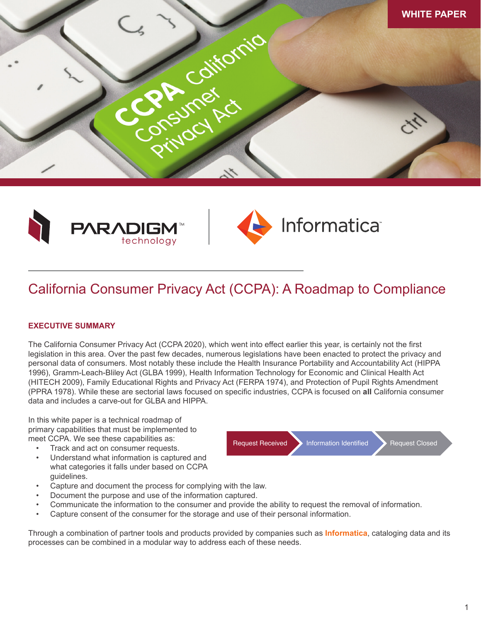





# California Consumer Privacy Act (CCPA): A Roadmap to Compliance

# **EXECUTIVE SUMMARY**

The California Consumer Privacy Act (CCPA 2020), which went into effect earlier this year, is certainly not the first legislation in this area. Over the past few decades, numerous legislations have been enacted to protect the privacy and personal data of consumers. Most notably these include the Health Insurance Portability and Accountability Act (HIPPA 1996), Gramm-Leach-Bliley Act (GLBA 1999), Health Information Technology for Economic and Clinical Health Act (HITECH 2009), Family Educational Rights and Privacy Act (FERPA 1974), and Protection of Pupil Rights Amendment (PPRA 1978). While these are sectorial laws focused on specific industries, CCPA is focused on **all** California consumer data and includes a carve-out for GLBA and HIPPA.

In this white paper is a technical roadmap of primary capabilities that must be implemented to meet CCPA. We see these capabilities as:

- Track and act on consumer requests.
- Understand what information is captured and what categories it falls under based on CCPA guidelines.
- Capture and document the process for complying with the law.
- Document the purpose and use of the information captured.
- Communicate the information to the consumer and provide the ability to request the removal of information.
- Capture consent of the consumer for the storage and use of their personal information.

Through a combination of partner tools and products provided by companies such as **Informatica**, cataloging data and its processes can be combined in a modular way to address each of these needs.

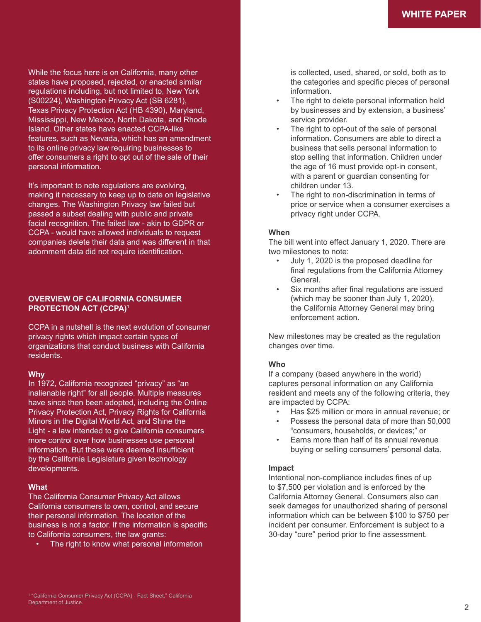While the focus here is on California, many other states have proposed, rejected, or enacted similar regulations including, but not limited to, New York (S00224), Washington Privacy Act (SB 6281), Texas Privacy Protection Act (HB 4390), Maryland, Mississippi, New Mexico, North Dakota, and Rhode Island. Other states have enacted CCPA-like features, such as Nevada, which has an amendment to its online privacy law requiring businesses to offer consumers a right to opt out of the sale of their personal information.

It's important to note regulations are evolving, making it necessary to keep up to date on legislative changes. The Washington Privacy law failed but passed a subset dealing with public and private facial recognition. The failed law - akin to GDPR or CCPA - would have allowed individuals to request companies delete their data and was different in that adornment data did not require identification.

# **OVERVIEW OF CALIFORNIA CONSUMER PROTECTION ACT (CCPA)1**

CCPA in a nutshell is the next evolution of consumer privacy rights which impact certain types of organizations that conduct business with California residents.

## **Why**

In 1972, California recognized "privacy" as "an inalienable right" for all people. Multiple measures have since then been adopted, including the Online Privacy Protection Act, Privacy Rights for California Minors in the Digital World Act, and Shine the Light - a law intended to give California consumers more control over how businesses use personal information. But these were deemed insufficient by the California Legislature given technology developments.

# **What**

The California Consumer Privacy Act allows California consumers to own, control, and secure their personal information. The location of the business is not a factor. If the information is specific to California consumers, the law grants:

• The right to know what personal information

is collected, used, shared, or sold, both as to the categories and specific pieces of personal information.

- The right to delete personal information held by businesses and by extension, a business' service provider.
- The right to opt-out of the sale of personal information. Consumers are able to direct a business that sells personal information to stop selling that information. Children under the age of 16 must provide opt-in consent, with a parent or guardian consenting for children under 13.
- The right to non-discrimination in terms of price or service when a consumer exercises a privacy right under CCPA.

# **When**

The bill went into effect January 1, 2020. There are two milestones to note:

- July 1, 2020 is the proposed deadline for final regulations from the California Attorney General.
- Six months after final regulations are issued (which may be sooner than July 1, 2020), the California Attorney General may bring enforcement action.

New milestones may be created as the regulation changes over time.

# **Who**

If a company (based anywhere in the world) captures personal information on any California resident and meets any of the following criteria, they are impacted by CCPA:

- Has \$25 million or more in annual revenue; or
- Possess the personal data of more than 50,000 "consumers, households, or devices;" or
- Earns more than half of its annual revenue buying or selling consumers' personal data.

# **Impact**

Intentional non-compliance includes fines of up to \$7,500 per violation and is enforced by the California Attorney General. Consumers also can seek damages for unauthorized sharing of personal information which can be between \$100 to \$750 per incident per consumer. Enforcement is subject to a 30-day "cure" period prior to fine assessment.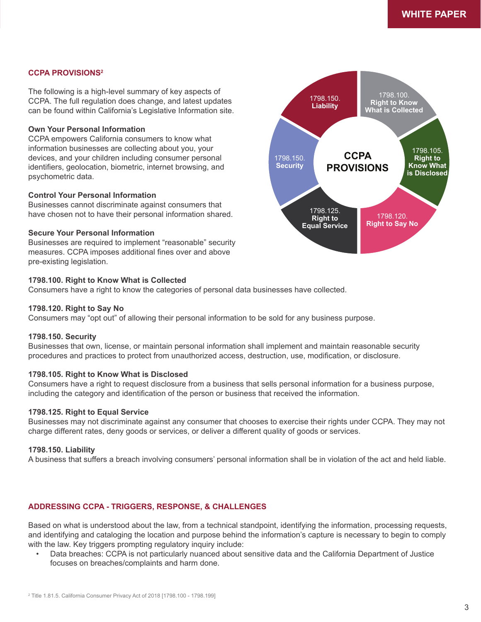## **CCPA PROVISIONS2**

The following is a high-level summary of key aspects of CCPA. The full regulation does change, and latest updates can be found within California's Legislative Information site.

## **Own Your Personal Information**

CCPA empowers California consumers to know what information businesses are collecting about you, your devices, and your children including consumer personal identifiers, geolocation, biometric, internet browsing, and psychometric data.

#### **Control Your Personal Information**

Businesses cannot discriminate against consumers that have chosen not to have their personal information shared.

## **Secure Your Personal Information**

Businesses are required to implement "reasonable" security measures. CCPA imposes additional fines over and above pre-existing legislation.

#### **1798.100. Right to Know What is Collected**

Consumers have a right to know the categories of personal data businesses have collected.

#### **1798.120. Right to Say No**

Consumers may "opt out" of allowing their personal information to be sold for any business purpose.

#### **1798.150. Security**

Businesses that own, license, or maintain personal information shall implement and maintain reasonable security procedures and practices to protect from unauthorized access, destruction, use, modification, or disclosure.

#### **1798.105. Right to Know What is Disclosed**

Consumers have a right to request disclosure from a business that sells personal information for a business purpose, including the category and identification of the person or business that received the information.

#### **1798.125. Right to Equal Service**

Businesses may not discriminate against any consumer that chooses to exercise their rights under CCPA. They may not charge different rates, deny goods or services, or deliver a different quality of goods or services.

#### **1798.150. Liability**

A business that suffers a breach involving consumers' personal information shall be in violation of the act and held liable.

## **ADDRESSING CCPA - TRIGGERS, RESPONSE, & CHALLENGES**

Based on what is understood about the law, from a technical standpoint, identifying the information, processing requests, and identifying and cataloging the location and purpose behind the information's capture is necessary to begin to comply with the law. Key triggers prompting regulatory inquiry include:

• Data breaches: CCPA is not particularly nuanced about sensitive data and the California Department of Justice focuses on breaches/complaints and harm done.

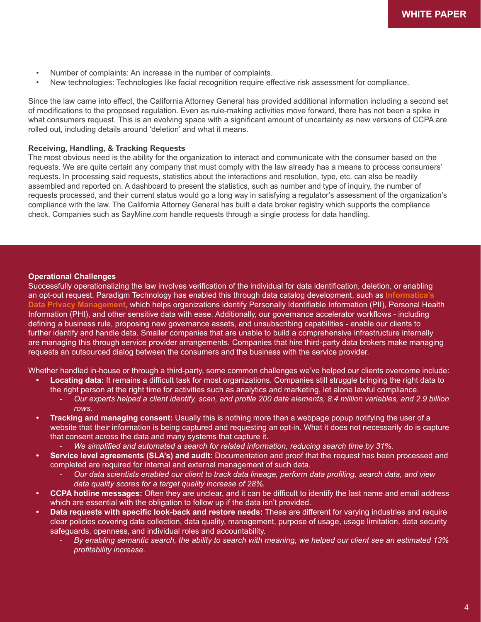- Number of complaints: An increase in the number of complaints.
- New technologies: Technologies like facial recognition require effective risk assessment for compliance.

Since the law came into effect, the California Attorney General has provided additional information including a second set of modifications to the proposed regulation. Even as rule-making activities move forward, there has not been a spike in what consumers request. This is an evolving space with a significant amount of uncertainty as new versions of CCPA are rolled out, including details around 'deletion' and what it means.

#### **Receiving, Handling, & Tracking Requests**

The most obvious need is the ability for the organization to interact and communicate with the consumer based on the requests. We are quite certain any company that must comply with the law already has a means to process consumers' requests. In processing said requests, statistics about the interactions and resolution, type, etc. can also be readily assembled and reported on. A dashboard to present the statistics, such as number and type of inquiry, the number of requests processed, and their current status would go a long way in satisfying a regulator's assessment of the organization's compliance with the law. The California Attorney General has built a data broker registry which supports the compliance check. Companies such as SayMine.com handle requests through a single process for data handling.

#### **Operational Challenges**

Successfully operationalizing the law involves verification of the individual for data identification, deletion, or enabling an opt-out request. Paradigm Technology has enabled this through data catalog development, such as **Informatica's Data Privacy Management**, which helps organizations identify Personally Identifiable Information (PII), Personal Health Information (PHI), and other sensitive data with ease. Additionally, our governance accelerator workflows - including defining a business rule, proposing new governance assets, and unsubscribing capabilities - enable our clients to further identify and handle data. Smaller companies that are unable to build a comprehensive infrastructure internally are managing this through service provider arrangements. Companies that hire third-party data brokers make managing requests an outsourced dialog between the consumers and the business with the service provider.

Whether handled in-house or through a third-party, some common challenges we've helped our clients overcome include:

- **• Locating data:** It remains a difficult task for most organizations. Companies still struggle bringing the right data to
	- the right person at the right time for activities such as analytics and marketing, let alone lawful compliance. *- Our experts helped a client identify, scan, and profile 200 data elements, 8.4 million variables, and 2.9 billion rows.*
- **• Tracking and managing consent:** Usually this is nothing more than a webpage popup notifying the user of a website that their information is being captured and requesting an opt-in. What it does not necessarily do is capture that consent across the data and many systems that capture it.
	- *- We simplified and automated a search for related information, reducing search time by 31%.*
- **• Service level agreements (SLA's) and audit:** Documentation and proof that the request has been processed and completed are required for internal and external management of such data.
	- *- Our data scientists enabled our client to track data lineage, perform data profiling, search data, and view data quality scores for a target quality increase of 28%.*
- **• CCPA hotline messages:** Often they are unclear, and it can be difficult to identify the last name and email address which are essential with the obligation to follow up if the data isn't provided.
- **• Data requests with specific look-back and restore needs:** These are different for varying industries and require clear policies covering data collection, data quality, management, purpose of usage, usage limitation, data security safeguards, openness, and individual roles and accountability.
	- *- By enabling semantic search, the ability to search with meaning, we helped our client see an estimated 13% profitability increase.*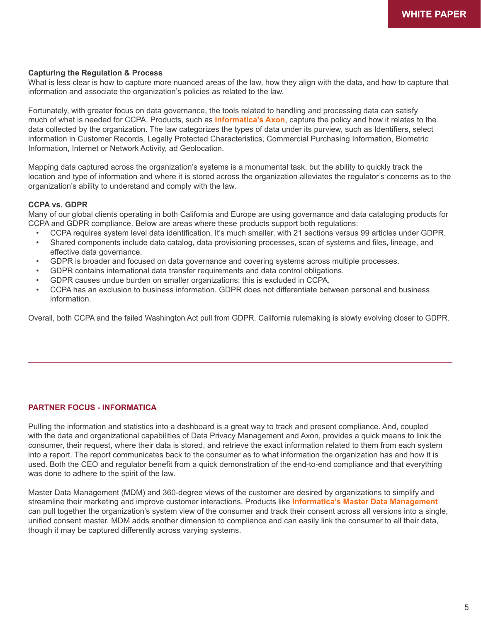## **Capturing the Regulation & Process**

What is less clear is how to capture more nuanced areas of the law, how they align with the data, and how to capture that information and associate the organization's policies as related to the law.

Fortunately, with greater focus on data governance, the tools related to handling and processing data can satisfy much of what is needed for CCPA. Products, such as **Informatica's Axon**, capture the policy and how it relates to the data collected by the organization. The law categorizes the types of data under its purview, such as Identifiers, select information in Customer Records, Legally Protected Characteristics, Commercial Purchasing Information, Biometric Information, Internet or Network Activity, ad Geolocation.

Mapping data captured across the organization's systems is a monumental task, but the ability to quickly track the location and type of information and where it is stored across the organization alleviates the regulator's concerns as to the organization's ability to understand and comply with the law.

## **CCPA vs. GDPR**

Many of our global clients operating in both California and Europe are using governance and data cataloging products for CCPA and GDPR compliance. Below are areas where these products support both regulations:

- CCPA requires system level data identification. It's much smaller, with 21 sections versus 99 articles under GDPR.<br>• Shared components include data catalog, data provisioning processes, scan of systems and files, lineage
- Shared components include data catalog, data provisioning processes, scan of systems and files, lineage, and effective data governance.
- GDPR is broader and focused on data governance and covering systems across multiple processes.
- GDPR contains international data transfer requirements and data control obligations.
- GDPR causes undue burden on smaller organizations; this is excluded in CCPA.
- CCPA has an exclusion to business information. GDPR does not differentiate between personal and business information.

Overall, both CCPA and the failed Washington Act pull from GDPR. California rulemaking is slowly evolving closer to GDPR.

# **PARTNER FOCUS - INFORMATICA**

Pulling the information and statistics into a dashboard is a great way to track and present compliance. And, coupled with the data and organizational capabilities of Data Privacy Management and Axon, provides a quick means to link the consumer, their request, where their data is stored, and retrieve the exact information related to them from each system into a report. The report communicates back to the consumer as to what information the organization has and how it is used. Both the CEO and regulator benefit from a quick demonstration of the end-to-end compliance and that everything was done to adhere to the spirit of the law.

Master Data Management (MDM) and 360-degree views of the customer are desired by organizations to simplify and streamline their marketing and improve customer interactions. Products like **Informatica's Master Data Management** can pull together the organization's system view of the consumer and track their consent across all versions into a single, unified consent master. MDM adds another dimension to compliance and can easily link the consumer to all their data, though it may be captured differently across varying systems.